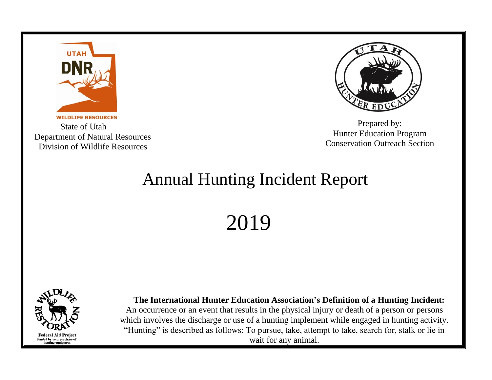

 State of Utah Department of Natural Resources Division of Wildlife Resources



Prepared by: Hunter Education Program Conservation Outreach Section

## Annual Hunting Incident Report

2019



 **The International Hunter Education Association's Definition of a Hunting Incident:** An occurrence or an event that results in the physical injury or death of a person or persons which involves the discharge or use of a hunting implement while engaged in hunting activity. "Hunting" is described as follows: To pursue, take, attempt to take, search for, stalk or lie in wait for any animal.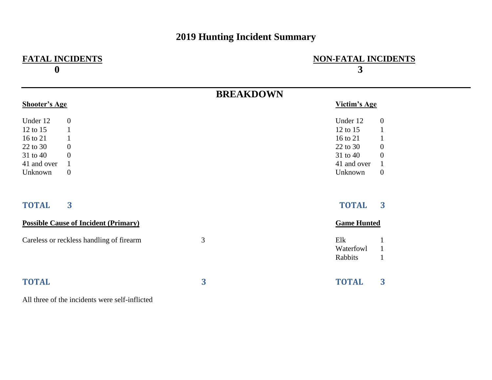## **2019 Hunting Incident Summary**

| <b>FATAL INCIDENTS</b><br>$\boldsymbol{0}$                                                                                                                                                               |                  | <b>NON-FATAL INCIDENTS</b><br>3                                                                                                                                                                                    |
|----------------------------------------------------------------------------------------------------------------------------------------------------------------------------------------------------------|------------------|--------------------------------------------------------------------------------------------------------------------------------------------------------------------------------------------------------------------|
|                                                                                                                                                                                                          | <b>BREAKDOWN</b> |                                                                                                                                                                                                                    |
| <b>Shooter's Age</b>                                                                                                                                                                                     |                  | Victim's Age                                                                                                                                                                                                       |
| Under 12<br>$\boldsymbol{0}$<br>12 to 15<br>$\mathbf{1}$<br>16 to 21<br>$\mathbf{1}$<br>22 to 30<br>$\mathbf{0}$<br>31 to 40<br>$\overline{0}$<br>41 and over<br>$\mathbf{1}$<br>$\mathbf{0}$<br>Unknown |                  | Under 12<br>$\boldsymbol{0}$<br>12 to 15<br>$\mathbf{1}$<br>16 to 21<br>$\mathbf{1}$<br>$\boldsymbol{0}$<br>22 to 30<br>$\boldsymbol{0}$<br>31 to 40<br>41 and over<br>$\mathbf{1}$<br>$\boldsymbol{0}$<br>Unknown |
| 3<br><b>TOTAL</b><br><b>Possible Cause of Incident (Primary)</b>                                                                                                                                         |                  | 3<br><b>TOTAL</b><br><b>Game Hunted</b>                                                                                                                                                                            |
|                                                                                                                                                                                                          |                  |                                                                                                                                                                                                                    |
| Careless or reckless handling of firearm                                                                                                                                                                 | 3                | Elk<br>$\mathbf{1}$<br>Waterfowl<br>$\mathbf{1}$<br>Rabbits<br>$\mathbf{1}$                                                                                                                                        |
| <b>TOTAL</b><br>$\mathbf{A}$ and $\mathbf{A}$ and $\mathbf{A}$<br>$\sim$ $\sim$ $\sim$ $\sim$ $\sim$ $\sim$<br>$\sim$ $\sim$ $\sim$ $\sim$ $\sim$                                                        | 3                | 3<br><b>TOTAL</b>                                                                                                                                                                                                  |

All three of the incidents were self-inflicted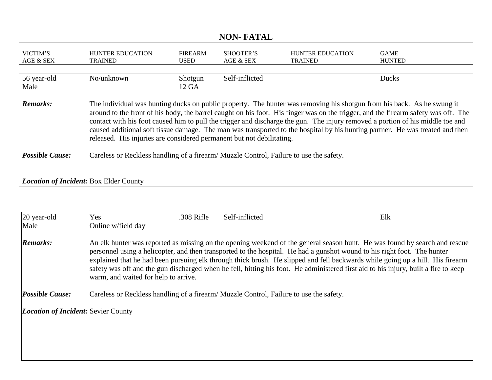| <b>NON-FATAL</b>                                                                                                                                                                                                                                                                                                                                                                                                                                                                                                                                                                                                            |                                           |                               |                        |                                    |                              |
|-----------------------------------------------------------------------------------------------------------------------------------------------------------------------------------------------------------------------------------------------------------------------------------------------------------------------------------------------------------------------------------------------------------------------------------------------------------------------------------------------------------------------------------------------------------------------------------------------------------------------------|-------------------------------------------|-------------------------------|------------------------|------------------------------------|------------------------------|
| VICTIM'S<br>AGE & SEX                                                                                                                                                                                                                                                                                                                                                                                                                                                                                                                                                                                                       | <b>HUNTER EDUCATION</b><br><b>TRAINED</b> | <b>FIREARM</b><br><b>USED</b> | SHOOTER'S<br>AGE & SEX | HUNTER EDUCATION<br><b>TRAINED</b> | <b>GAME</b><br><b>HUNTED</b> |
| 56 year-old<br>Male                                                                                                                                                                                                                                                                                                                                                                                                                                                                                                                                                                                                         | No/unknown                                | Shotgun<br>12 GA              | Self-inflicted         |                                    | <b>Ducks</b>                 |
| The individual was hunting ducks on public property. The hunter was removing his shotgun from his back. As he swung it<br><b>Remarks:</b><br>around to the front of his body, the barrel caught on his foot. His finger was on the trigger, and the firearm safety was off. The<br>contact with his foot caused him to pull the trigger and discharge the gun. The injury removed a portion of his middle toe and<br>caused additional soft tissue damage. The man was transported to the hospital by his hunting partner. He was treated and then<br>released. His injuries are considered permanent but not debilitating. |                                           |                               |                        |                                    |                              |
| <b>Possible Cause:</b><br>Careless or Reckless handling of a firearm/ Muzzle Control, Failure to use the safety.                                                                                                                                                                                                                                                                                                                                                                                                                                                                                                            |                                           |                               |                        |                                    |                              |
| <b>Location of Incident: Box Elder County</b>                                                                                                                                                                                                                                                                                                                                                                                                                                                                                                                                                                               |                                           |                               |                        |                                    |                              |

| 20 year-old                                | Yes                                                                                   | .308 Rifle | Self-inflicted | Elk                                                                                                                                                                                                                                                                                                                                                                                                                                                                                                                            |
|--------------------------------------------|---------------------------------------------------------------------------------------|------------|----------------|--------------------------------------------------------------------------------------------------------------------------------------------------------------------------------------------------------------------------------------------------------------------------------------------------------------------------------------------------------------------------------------------------------------------------------------------------------------------------------------------------------------------------------|
| Male                                       | Online w/field day                                                                    |            |                |                                                                                                                                                                                                                                                                                                                                                                                                                                                                                                                                |
| <b>Remarks:</b>                            | warm, and waited for help to arrive.                                                  |            |                | An elk hunter was reported as missing on the opening weekend of the general season hunt. He was found by search and rescue<br>personnel using a helicopter, and then transported to the hospital. He had a gunshot wound to his right foot. The hunter<br>explained that he had been pursuing elk through thick brush. He slipped and fell backwards while going up a hill. His firearm<br>safety was off and the gun discharged when he fell, hitting his foot. He administered first aid to his injury, built a fire to keep |
| <b>Possible Cause:</b>                     | Careless or Reckless handling of a firearm/Muzzle Control, Failure to use the safety. |            |                |                                                                                                                                                                                                                                                                                                                                                                                                                                                                                                                                |
| <b>Location of Incident: Sevier County</b> |                                                                                       |            |                |                                                                                                                                                                                                                                                                                                                                                                                                                                                                                                                                |
|                                            |                                                                                       |            |                |                                                                                                                                                                                                                                                                                                                                                                                                                                                                                                                                |